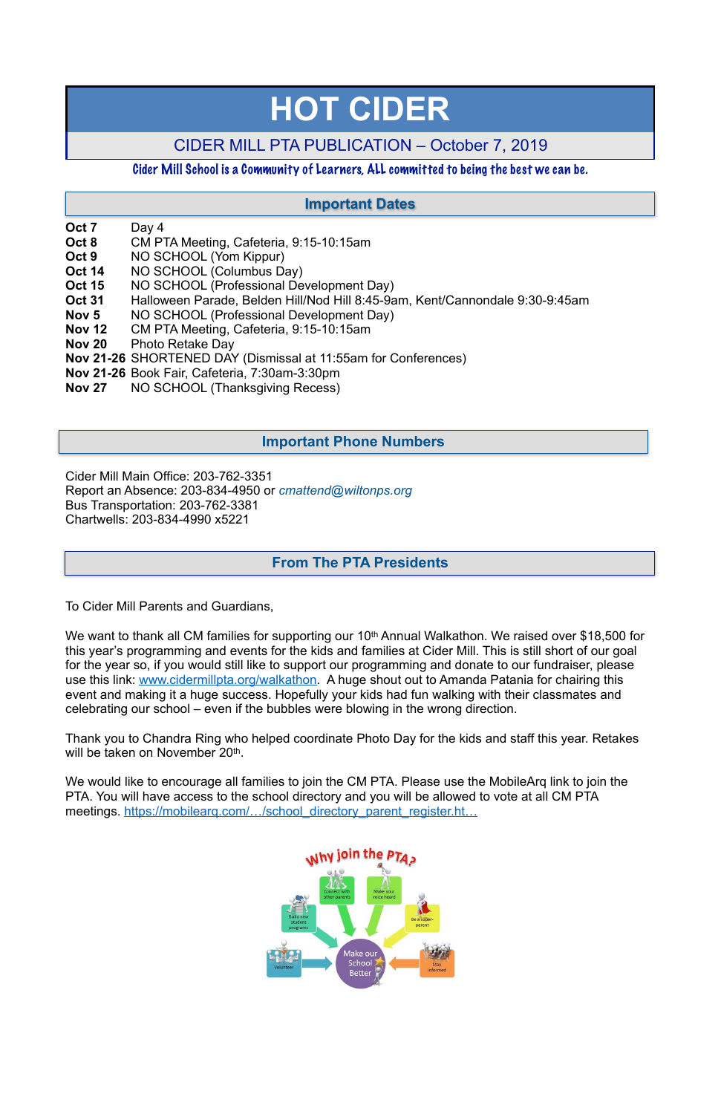- **Oct 7** Day 4
- **Oct 8** CM PTA Meeting, Cafeteria, 9:15-10:15am
- **Oct 9** NO SCHOOL (Yom Kippur)
- **Oct 14** NO SCHOOL (Columbus Day)
- **Oct 15** NO SCHOOL (Professional Development Day)
- **Oct 31** Halloween Parade, Belden Hill/Nod Hill 8:45-9am, Kent/Cannondale 9:30-9:45am
- **Nov 5** NO SCHOOL (Professional Development Day)
- **Nov 12** CM PTA Meeting, Cafeteria, 9:15-10:15am
- **Nov 20** Photo Retake Day
- **Nov 21-26** SHORTENED DAY (Dismissal at 11:55am for Conferences)
- **Nov 21-26** Book Fair, Cafeteria, 7:30am-3:30pm
- **Nov 27** NO SCHOOL (Thanksgiving Recess)

Cider Mill Main Office: 203-762-3351 Report an Absence: 203-834-4950 or *[cmattend@wiltonps.org](mailto:fallonk@wiltonps.org)* Bus Transportation: 203-762-3381 Chartwells: 203-834-4990 x5221

We want to thank all CM families for supporting our 10<sup>th</sup> Annual Walkathon. We raised over \$18,500 for this year's programming and events for the kids and families at Cider Mill. This is still short of our goal for the year so, if you would still like to support our programming and donate to our fundraiser, please use this link: [www.cidermillpta.org/walkathon](http://www.cidermillpta.org/walkathon). A huge shout out to Amanda Patania for chairing this event and making it a huge success. Hopefully your kids had fun walking with their classmates and celebrating our school – even if the bubbles were blowing in the wrong direction.

Thank you to Chandra Ring who helped coordinate Photo Day for the kids and staff this year. Retakes will be taken on November 20<sup>th</sup>.

To Cider Mill Parents and Guardians,

We would like to encourage all families to join the CM PTA. Please use the MobileArq link to join the PTA. You will have access to the school directory and you will be allowed to vote at all CM PTA meetings. https://mobilearg.com/.../school\_directory\_parent\_register.ht…



# **HOT CIDER**

# CIDER MILL PTA PUBLICATION – October 7, 2019

## Cider Mill School is a Community of Learners, ALL committed to being the best we can be.

# **From The PTA Presidents**

# **Important Dates**

# **Important Phone Numbers**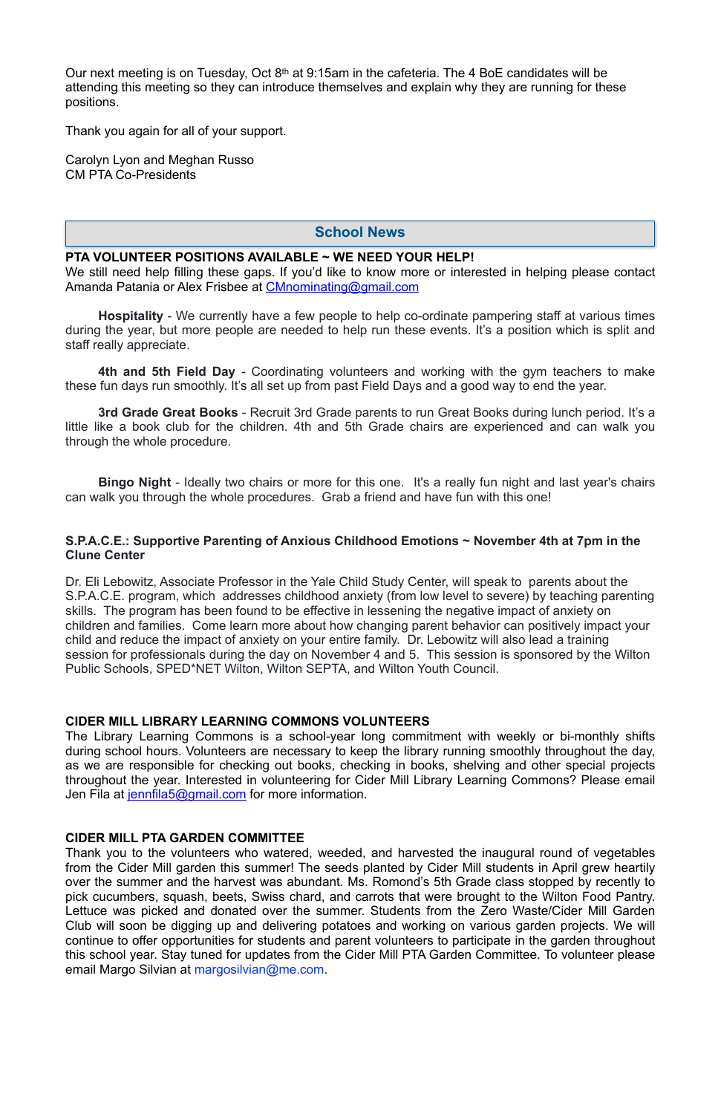Our next meeting is on Tuesday, Oct 8th at 9:15am in the cafeteria. The 4 BoE candidates will be attending this meeting so they can introduce themselves and explain why they are running for these positions.

Thank you again for all of your support.

Carolyn Lyon and Meghan Russo CM PTA Co-Presidents

#### **PTA VOLUNTEER POSITIONS AVAILABLE ~ WE NEED YOUR HELP!**

We still need help filling these gaps. If you'd like to know more or interested in helping please contact Amanda Patania or Alex Frisbee at [CMnominating@gmail.com](mailto:CMnominating@gmail.com)

**Hospitality** - We currently have a few people to help co-ordinate pampering staff at various times during the year, but more people are needed to help run these events. It's a position which is split and staff really appreciate.

**4th and 5th Field Day** - Coordinating volunteers and working with the gym teachers to make these fun days run smoothly. It's all set up from past Field Days and a good way to end the year.

**3rd Grade Great Books** - Recruit 3rd Grade parents to run Great Books during lunch period. It's a little like a book club for the children. 4th and 5th Grade chairs are experienced and can walk you through the whole procedure.

The Library Learning Commons is a school-year long commitment with weekly or bi-monthly shifts during school hours. Volunteers are necessary to keep the library running smoothly throughout the day, as we are responsible for checking out books, checking in books, shelving and other special projects throughout the year. Interested in volunteering for Cider Mill Library Learning Commons? Please email Jen Fila at [jennfila5@gmail.com](mailto:jennfila5@gmail.com) for more information.

**Bingo Night** - Ideally two chairs or more for this one. It's a really fun night and last year's chairs can walk you through the whole procedures. Grab a friend and have fun with this one!

Thank you to the volunteers who watered, weeded, and harvested the inaugural round of vegetables from [the Cider Mill](x-apple-data-detectors://3) garden this summer! The seeds planted by Cider Mill students in April grew heartily over the summer and the harvest was abundant. Ms. Romond's 5th Grade class stopped by recently to pick cucumbers, squash, beets, Swiss chard, and carrots that were brought to the Wilton Food Pantry. Lettuce was picked and donated over the summer. Students from [the Zero Waste/Cider Mill](x-apple-data-detectors://4) Garden Club will soon be digging up and delivering potatoes and working on various garden projects. We will continue to offer opportunities for students and parent volunteers to participate in the garden throughout this school year. Stay tuned for updates from [the Cider Mill](x-apple-data-detectors://5) PTA Garden Committee. To volunteer please email Margo Silvian at [margosilvian@m](mailto:margosilvian@mac.com)[e.com](http://e.com/).

#### **S.P.A.C.E.: Supportive Parenting of Anxious Childhood Emotions ~ November 4th at 7pm in the Clune Center**

Dr. Eli Lebowitz, Associate Professor in the Yale Child Study Center, will speak to parents about the S.P.A.C.E. program, which addresses childhood anxiety (from low level to severe) by teaching parenting skills. The program has been found to be effective in lessening the negative impact of anxiety on children and families. Come learn more about how changing parent behavior can positively impact your child and reduce the impact of anxiety on your entire family. Dr. Lebowitz will also lead a training session for professionals during the day on November 4 and 5. This session is sponsored by the Wilton Public Schools, SPED\*NET Wilton, Wilton SEPTA, and Wilton Youth Council.

#### **CIDER MILL LIBRARY LEARNING COMMONS VOLUNTEERS**

## **CIDER MILL PTA GARDEN COMMITTEE**

## **School News**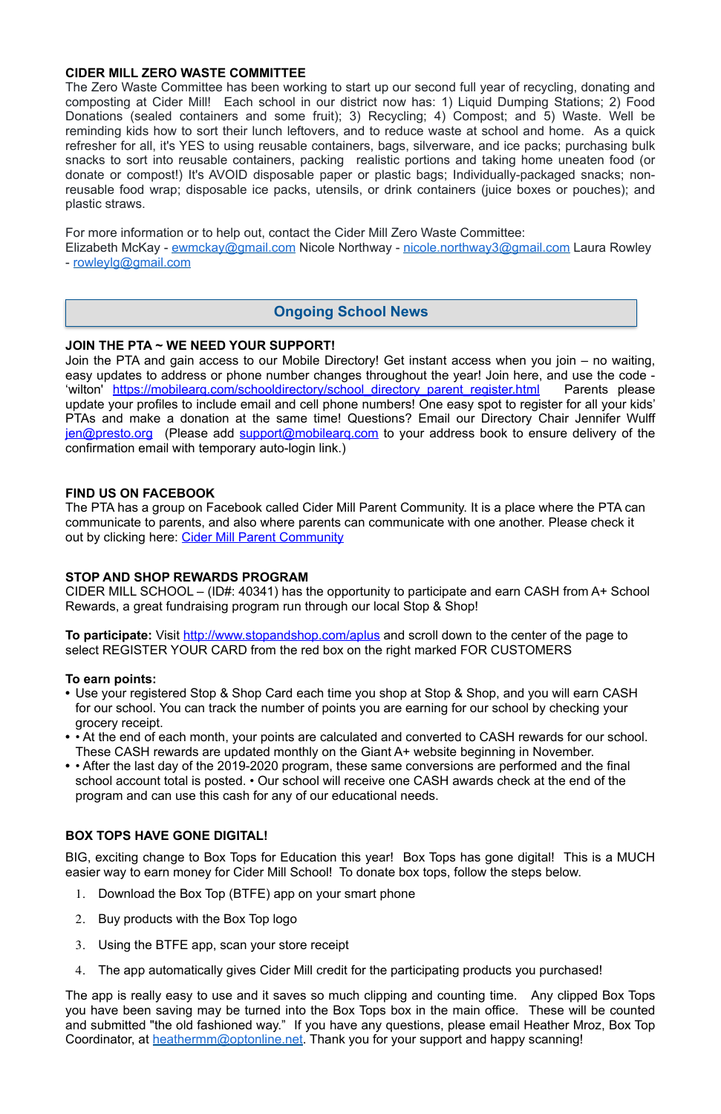## **CIDER MILL ZERO WASTE COMMITTEE**

The Zero Waste Committee has been working to start up our second full year of recycling, donating and composting at Cider Mill! Each school in our district now has: 1) Liquid Dumping Stations; 2) Food Donations (sealed containers and some fruit); 3) Recycling; 4) Compost; and 5) Waste. Well be reminding kids how to sort their lunch leftovers, and to reduce waste at school and home. As a quick refresher for all, it's YES to using reusable containers, bags, silverware, and ice packs; purchasing bulk snacks to sort into reusable containers, packing realistic portions and taking home uneaten food (or donate or compost!) It's AVOID disposable paper or plastic bags; Individually-packaged snacks; nonreusable food wrap; disposable ice packs, utensils, or drink containers (juice boxes or pouches); and plastic straws.

Elizabeth McKay - [ewmckay@gmail.com](mailto:ewmckay@gmail.com) Nicole Northway - [nicole.northway3@gmail.com](mailto:nicole.northway3@gmail.com) Laura Rowley - [rowleylg@gmail.com](mailto:rowleylg@gmail.com)

The PTA has a group on Facebook called Cider Mill Parent Community. It is a place where the PTA can communicate to parents, and also where parents can communicate with one another. Please check it out by clicking here: [Cider Mill Parent Community](https://www.facebook.com/groups/1168962513117647/)

For more information or to help out, contact the Cider Mill Zero Waste Committee:

## **JOIN THE PTA ~ WE NEED YOUR SUPPORT!**

**To participate:** Visit<http://www.stopandshop.com/aplus>and scroll down to the center of the page to select REGISTER YOUR CARD from the red box on the right marked FOR CUSTOMERS

Join the PTA and gain access to our Mobile Directory! Get instant access when you join – no waiting, easy updates to address or phone number changes throughout the year! Join here, and use the code - 'wilton' https://mobilearg.com/schooldirectory/school directory parent register.html Parents please update your profiles to include email and cell phone numbers! One easy spot to register for all your kids' PTAs and make a donation at the same time! Questions? Email our Directory Chair Jennifer Wulff [jen@presto.org](mailto:jen@presto.org) (Please add [support@mobilearq.com](mailto:support@mobilearq.com) to your address book to ensure delivery of the confirmation email with temporary auto-login link.)

## **FIND US ON FACEBOOK**

The app is really easy to use and it saves so much clipping and counting time. Any clipped Box Tops you have been saving may be turned into the Box Tops box in the main office. These will be counted and submitted "the old fashioned way." If you have any questions, please email Heather Mroz, Box Top Coordinator, at [heathermm@optonline.net.](mailto:heathermm@optonline.net) Thank you for your support and happy scanning!

## **STOP AND SHOP REWARDS PROGRAM**

CIDER MILL SCHOOL – (ID#: 40341) has the opportunity to participate and earn CASH from A+ School Rewards, a great fundraising program run through our local Stop & Shop!

## **To earn points:**

- **•** Use your registered Stop & Shop Card each time you shop at Stop & Shop, and you will earn CASH for our school. You can track the number of points you are earning for our school by checking your grocery receipt.
- **•** At the end of each month, your points are calculated and converted to CASH rewards for our school. These CASH rewards are updated monthly on the Giant A+ website beginning in November.
- **•** After the last day of the 2019-2020 program, these same conversions are performed and the final school account total is posted. • Our school will receive one CASH awards check at the end of the program and can use this cash for any of our educational needs.

#### **BOX TOPS HAVE GONE DIGITAL!**

BIG, exciting change to Box Tops for Education this year! Box Tops has gone digital! This is a MUCH easier way to earn money for Cider Mill School! To donate box tops, follow the steps below.

- 1. Download the Box Top (BTFE) app on your smart phone
- 2. Buy products with the Box Top logo
- 3. Using the BTFE app, scan your store receipt
- 4. The app automatically gives Cider Mill credit for the participating products you purchased!

# **Ongoing School News**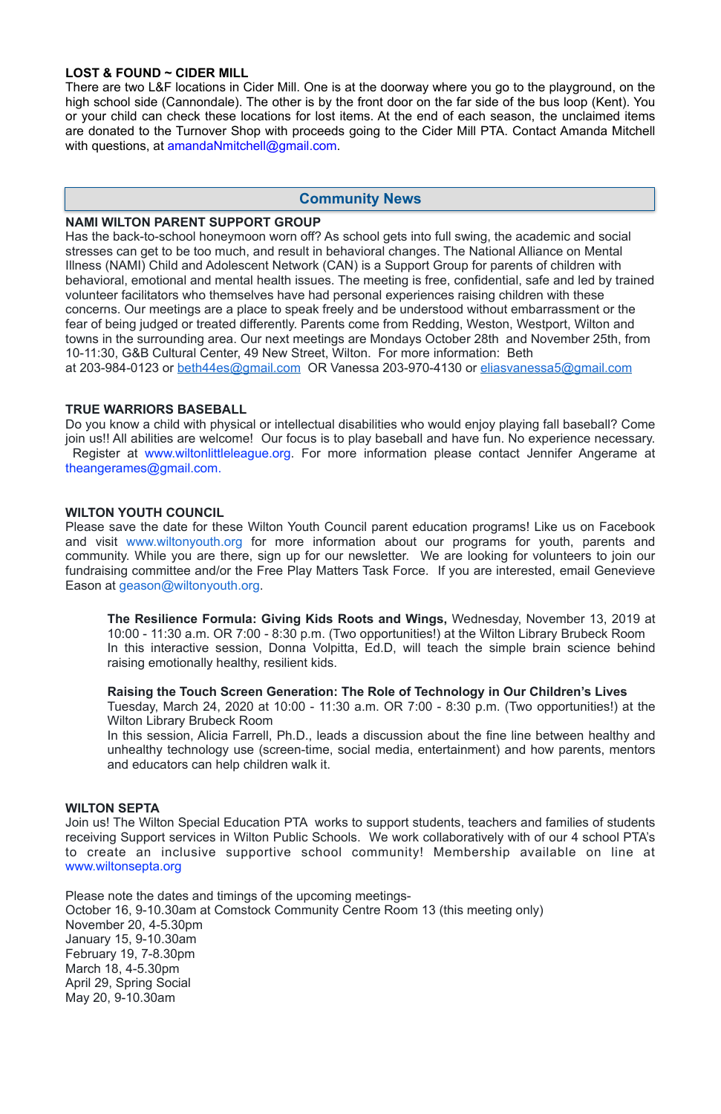## **LOST & FOUND ~ CIDER MILL**

There are two L&F locations in Cider Mill. One is at the doorway where you go to the playground, on the high school side (Cannondale). The other is by the front door on the far side of the bus loop (Kent). You or your child can check these locations for lost items. At the end of each season, the unclaimed items are donated to the Turnover Shop with proceeds going to the Cider Mill PTA. Contact Amanda Mitchell with questions, at [amandaNmitchell@gmail.com](mailto:amandaNmitchell@gmail.com).

Has the back-to-school honeymoon worn off? As school gets into full swing, the academic and social stresses can get to be too much, and result in behavioral changes. The National Alliance on Mental Illness (NAMI) Child and Adolescent Network (CAN) is a Support Group for parents of children with behavioral, emotional and mental health issues. The meeting is free, confidential, safe and led by trained volunteer facilitators who themselves have had personal experiences raising children with these concerns. Our meetings are a place to speak freely and be understood without embarrassment or the fear of being judged or treated differently. Parents come from Redding, Weston, Westport, Wilton and towns in the surrounding area. Our next meetings are Mondays October 28th and November 25th, from 10-11:30, G&B Cultural Center, 49 New Street, Wilton. For more information: Beth at 203-984-0123 or [beth44es@gmail.com](mailto:beth44es@gmail.com) OR Vanessa 203-970-4130 or eliasvanessa5@gmail.com

#### **NAMI WILTON PARENT SUPPORT GROUP**

#### **TRUE WARRIORS BASEBALL**

Do you know a child with physical or intellectual disabilities who would enjoy playing fall baseball? Come join us!! All abilities are welcome! Our focus is to play baseball and have fun. No experience necessary. Register at [www.wiltonlittleleague.org.](http://www.wiltonlittleleague.org/) For more information please contact Jennifer Angerame at theangerames@gmail.com.

#### **WILTON YOUTH COUNCIL**

Please save the date for these Wilton Youth Council parent education programs! Like us on Facebook and visit [www.wiltonyouth.org](http://www.wiltonyouth.org/) for more information about our programs for youth, parents and community. While you are there, sign up for our newsletter. We are looking for volunteers to join our fundraising committee and/or the Free Play Matters Task Force. If you are interested, email Genevieve Eason at [geason@wiltonyouth.org](mailto:geason@wiltonyouth.org).

**The Resilience Formula: Giving Kids Roots and Wings,** Wednesday, November 13, 2019 at 10:00 - 11:30 a.m. OR 7:00 - 8:30 p.m. (Two opportunities!) at the Wilton Library Brubeck Room In this interactive session, Donna Volpitta, Ed.D, will teach the simple brain science behind raising emotionally healthy, resilient kids.

**Raising the Touch Screen Generation: The Role of Technology in Our Children's Lives**  Tuesday, March 24, 2020 at 10:00 - 11:30 a.m. OR 7:00 - 8:30 p.m. (Two opportunities!) at the Wilton Library Brubeck Room

In this session, Alicia Farrell, Ph.D., leads a discussion about the fine line between healthy and unhealthy technology use (screen-time, social media, entertainment) and how parents, mentors and educators can help children walk it.

Join us! The Wilton Special Education PTA works to support students, teachers and families of students receiving Support services in Wilton Public Schools. We work collaboratively with of our 4 school PTA's to create an inclusive supportive school community! Membership available on line at [www.wiltonsepta.org](http://www.wiltonsepta.org/)

Please note the dates and timings of the upcoming meetings-October 16, 9-10.30am at Comstock Community Centre Room 13 (this meeting only) November 20, 4-5.30pm January 15, 9-10.30am February 19, 7-8.30pm March 18, 4-5.30pm April 29, Spring Social May 20, 9-10.30am

## **Community News**